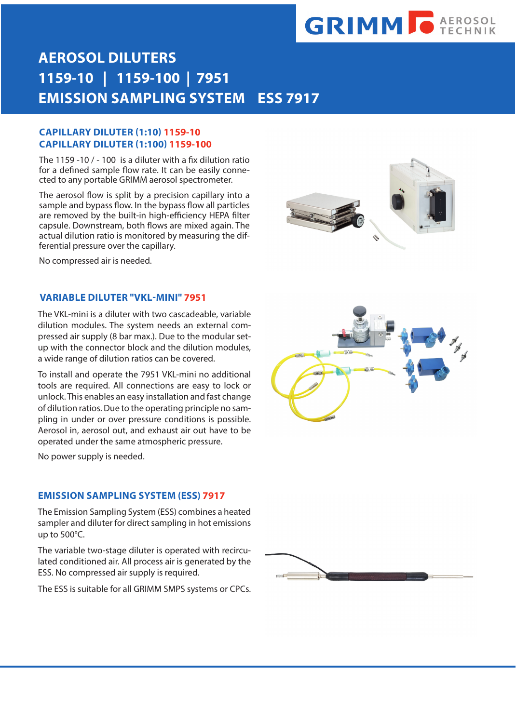# **GRIMM O AEROSOL**

### **AEROSOL DILUTERS 1159-10 | 1159-100 | 7951 EMISSION SAMPLING SYSTEM ESS 7917**

#### **CAPILLARY DILUTER (1:10) 1159-10 CAPILLARY DILUTER (1:100) 1159-100**

The 1159 -10 / - 100 is a diluter with a fix dilution ratio for a defined sample flow rate. It can be easily connected to any portable GRIMM aerosol spectrometer.

The aerosol flow is split by a precision capillary into a sample and bypass flow. In the bypass flow all particles are removed by the built-in high-efficiency HEPA filter capsule. Downstream, both flows are mixed again. The actual dilution ratio is monitored by measuring the differential pressure over the capillary.



No compressed air is needed.

#### **VARIABLE DILUTER "VKL-MINI" 7951**

The VKL-mini is a diluter with two cascadeable, variable dilution modules. The system needs an external compressed air supply (8 bar max.). Due to the modular setup with the connector block and the dilution modules, a wide range of dilution ratios can be covered.

To install and operate the 7951 VKL-mini no additional tools are required. All connections are easy to lock or unlock. This enables an easy installation and fast change of dilution ratios. Due to the operating principle no sampling in under or over pressure conditions is possible. Aerosol in, aerosol out, and exhaust air out have to be operated under the same atmospheric pressure.

No power supply is needed.

#### **EMISSION SAMPLING SYSTEM (ESS) 7917**

The Emission Sampling System (ESS) combines a heated sampler and diluter for direct sampling in hot emissions up to 500°C.

The variable two-stage diluter is operated with recirculated conditioned air. All process air is generated by the ESS. No compressed air supply is required.

The ESS is suitable for all GRIMM SMPS systems or CPCs.